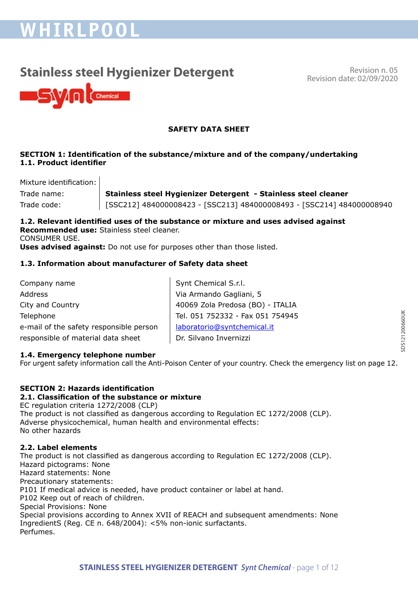# **WHIRLPOOL**

## **Stainless steel Hygienizer Detergent** Revision n. 05

Revision date: 02/09/2020



## **SAFETY DATA SHEET**

## **SECTION 1: Identification of the substance/mixture and of the company/undertaking 1.1. Product identifier**

Mixture identification:

Trade name: **Stainless steel Hygienizer Detergent - Stainless steel cleaner**  Trade code: [SSC212] 484000008423 - [SSC213] 484000008493 - [SSC214] 484000008940

**1.2. Relevant identified uses of the substance or mixture and uses advised against Recommended use:** Stainless steel cleaner. CONSUMER USE. **Uses advised against:** Do not use for purposes other than those listed.

## **1.3. Information about manufacturer of Safety data sheet**

| Company name                            | Synt Chemical S.r.l.             |
|-----------------------------------------|----------------------------------|
| <b>Address</b>                          | Via Armando Gagliani, 5          |
| City and Country                        | 40069 Zola Predosa (BO) - ITALIA |
| Telephone                               | Tel. 051 752332 - Fax 051 754945 |
| e-mail of the safety responsible person | laboratorio@syntchemical.it      |
| responsible of material data sheet      | Dr. Silvano Invernizzi           |
|                                         |                                  |

## **1.4. Emergency telephone number**

For urgent safety information call the Anti-Poison Center of your country. Check the emergency list on page 12.

## **SECTION 2: Hazards identification**

## **2.1. Classification of the substance or mixture**

EC regulation criteria 1272/2008 (CLP) The product is not classified as dangerous according to Regulation EC 1272/2008 (CLP). Adverse physicochemical, human health and environmental effects: No other hazards

## **2.2. Label elements**

The product is not classified as dangerous according to Regulation EC 1272/2008 (CLP). Hazard pictograms: None Hazard statements: None Precautionary statements: P101 If medical advice is needed, have product container or label at hand. P102 Keep out of reach of children. Special Provisions: None Special provisions according to Annex XVII of REACH and subsequent amendments: None IngredientS (Reg. CE n. 648/2004): <5% non-ionic surfactants. Perfumes.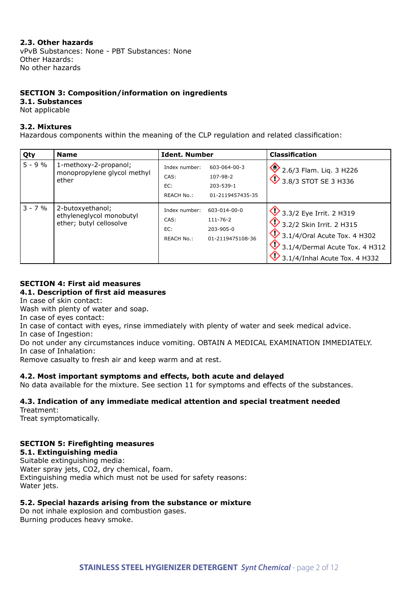## **2.3. Other hazards**

vPvB Substances: None - PBT Substances: None Other Hazards: No other hazards

## **SECTION 3: Composition/information on ingredients**

#### **3.1. Substances**

Not applicable

#### **3.2. Mixtures**

Hazardous components within the meaning of the CLP regulation and related classification:

| Qty       | <b>Name</b>                                                             | <b>Ident, Number</b>                                                                                    | <b>Classification</b>                                                                                                                                             |
|-----------|-------------------------------------------------------------------------|---------------------------------------------------------------------------------------------------------|-------------------------------------------------------------------------------------------------------------------------------------------------------------------|
| $5 - 9%$  | 1-methoxy-2-propanol;<br>monopropylene glycol methyl<br>ether           | Index number:<br>603-064-00-3<br>CAS:<br>107-98-2<br>203-539-1<br>EC:<br>01-2119457435-35<br>REACH No.: | 2.6/3 Flam. Liq. 3 H226<br>$\overline{\mathbf{V}}$ 3.8/3 STOT SE 3 H336                                                                                           |
| $3 - 7 %$ | 2-butoxyethanol;<br>ethyleneglycol monobutyl<br>ether; butyl cellosolve | Index number:<br>603-014-00-0<br>CAS:<br>111-76-2<br>203-905-0<br>EC:<br>REACH No.:<br>01-2119475108-36 | 3.3/2 Eye Irrit. 2 H319<br>3.2/2 Skin Irrit. 2 H315<br>$\bigcirc$ 3.1/4/Oral Acute Tox. 4 H302<br>3.1/4/Dermal Acute Tox. 4 H312<br>3.1/4/Inhal Acute Tox. 4 H332 |

## **SECTION 4: First aid measures 4.1. Description of first aid measures**

In case of skin contact:

Wash with plenty of water and soap.

In case of eyes contact:

In case of contact with eyes, rinse immediately with plenty of water and seek medical advice.

In case of Ingestion:

Do not under any circumstances induce vomiting. OBTAIN A MEDICAL EXAMINATION IMMEDIATELY. In case of Inhalation:

Remove casualty to fresh air and keep warm and at rest.

#### **4.2. Most important symptoms and effects, both acute and delayed**

No data available for the mixture. See section 11 for symptoms and effects of the substances.

## **4.3. Indication of any immediate medical attention and special treatment needed**

Treatment:

Treat symptomatically.

## **SECTION 5: Firefighting measures**

**5.1. Extinguishing media**

Suitable extinguishing media: Water spray jets, CO2, dry chemical, foam. Extinguishing media which must not be used for safety reasons: Water jets.

## **5.2. Special hazards arising from the substance or mixture**

Do not inhale explosion and combustion gases. Burning produces heavy smoke.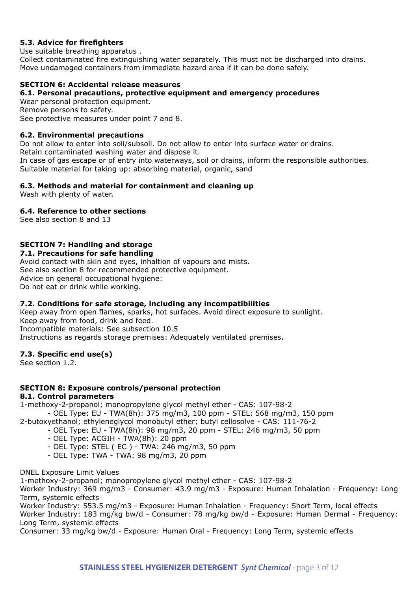## **5.3. Advice for firefighters**

Use suitable breathing apparatus .

Collect contaminated fire extinguishing water separately. This must not be discharged into drains. Move undamaged containers from immediate hazard area if it can be done safely.

## **SECTION 6: Accidental release measures**

#### **6.1. Personal precautions, protective equipment and emergency procedures**

Wear personal protection equipment.

Remove persons to safety.

See protective measures under point 7 and 8.

#### **6.2. Environmental precautions**

Do not allow to enter into soil/subsoil. Do not allow to enter into surface water or drains. Retain contaminated washing water and dispose it. In case of gas escape or of entry into waterways, soil or drains, inform the responsible authorities. Suitable material for taking up: absorbing material, organic, sand

## **6.3. Methods and material for containment and cleaning up**

Wash with plenty of water.

## **6.4. Reference to other sections**

See also section 8 and 13

## **SECTION 7: Handling and storage**

**7.1. Precautions for safe handling**

Avoid contact with skin and eyes, inhaltion of vapours and mists. See also section 8 for recommended protective equipment. Advice on general occupational hygiene: Do not eat or drink while working.

## **7.2. Conditions for safe storage, including any incompatibilities**

Keep away from open flames, sparks, hot surfaces. Avoid direct exposure to sunlight. Keep away from food, drink and feed. Incompatible materials: See subsection 10.5 Instructions as regards storage premises: Adequately ventilated premises.

#### **7.3. Specific end use(s)**

See section 1.2.

## **SECTION 8: Exposure controls/personal protection**

## **8.1. Control parameters**

1-methoxy-2-propanol; monopropylene glycol methyl ether - CAS: 107-98-2

- OEL Type: EU - TWA(8h): 375 mg/m3, 100 ppm - STEL: 568 mg/m3, 150 ppm

- 2-butoxyethanol; ethyleneglycol monobutyl ether; butyl cellosolve CAS: 111-76-2
	- OEL Type: EU TWA(8h): 98 mg/m3, 20 ppm STEL: 246 mg/m3, 50 ppm
	- OEL Type: ACGIH TWA(8h): 20 ppm
	- OEL Type: STEL ( EC ) TWA: 246 mg/m3, 50 ppm
	- OEL Type: TWA TWA: 98 mg/m3, 20 ppm

DNEL Exposure Limit Values

1-methoxy-2-propanol; monopropylene glycol methyl ether - CAS: 107-98-2

Worker Industry: 369 mg/m3 - Consumer: 43.9 mg/m3 - Exposure: Human Inhalation - Frequency: Long Term, systemic effects

Worker Industry: 553.5 mg/m3 - Exposure: Human Inhalation - Frequency: Short Term, local effects Worker Industry: 183 mg/kg bw/d - Consumer: 78 mg/kg bw/d - Exposure: Human Dermal - Frequency: Long Term, systemic effects

Consumer: 33 mg/kg bw/d - Exposure: Human Oral - Frequency: Long Term, systemic effects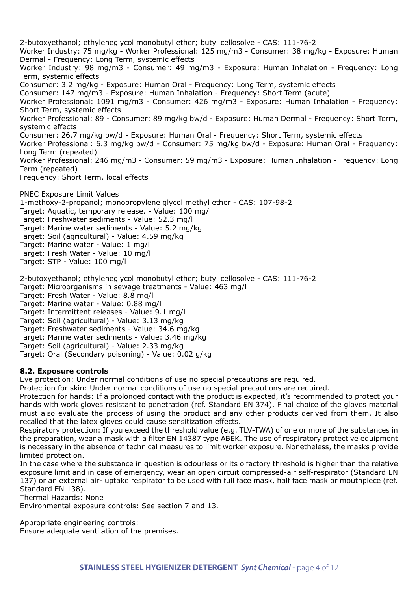2-butoxyethanol; ethyleneglycol monobutyl ether; butyl cellosolve - CAS: 111-76-2 Worker Industry: 75 mg/kg - Worker Professional: 125 mg/m3 - Consumer: 38 mg/kg - Exposure: Human Dermal - Frequency: Long Term, systemic effects Worker Industry: 98 mg/m3 - Consumer: 49 mg/m3 - Exposure: Human Inhalation - Frequency: Long Term, systemic effects Consumer: 3.2 mg/kg - Exposure: Human Oral - Frequency: Long Term, systemic effects Consumer: 147 mg/m3 - Exposure: Human Inhalation - Frequency: Short Term (acute) Worker Professional: 1091 mg/m3 - Consumer: 426 mg/m3 - Exposure: Human Inhalation - Frequency: Short Term, systemic effects Worker Professional: 89 - Consumer: 89 mg/kg bw/d - Exposure: Human Dermal - Frequency: Short Term, systemic effects Consumer: 26.7 mg/kg bw/d - Exposure: Human Oral - Frequency: Short Term, systemic effects Worker Professional: 6.3 mg/kg bw/d - Consumer: 75 mg/kg bw/d - Exposure: Human Oral - Frequency: Long Term (repeated) Worker Professional: 246 mg/m3 - Consumer: 59 mg/m3 - Exposure: Human Inhalation - Frequency: Long Term (repeated) Frequency: Short Term, local effects PNEC Exposure Limit Values 1-methoxy-2-propanol; monopropylene glycol methyl ether - CAS: 107-98-2 Target: Aquatic, temporary release. - Value: 100 mg/l Target: Freshwater sediments - Value: 52.3 mg/l Target: Marine water sediments - Value: 5.2 mg/kg Target: Soil (agricultural) - Value: 4.59 mg/kg Target: Marine water - Value: 1 mg/l Target: Fresh Water - Value: 10 mg/l Target: STP - Value: 100 mg/l 2-butoxyethanol; ethyleneglycol monobutyl ether; butyl cellosolve - CAS: 111-76-2

Target: Microorganisms in sewage treatments - Value: 463 mg/l

Target: Fresh Water - Value: 8.8 mg/l

Target: Marine water - Value: 0.88 mg/l

Target: Intermittent releases - Value: 9.1 mg/l

Target: Soil (agricultural) - Value: 3.13 mg/kg

Target: Freshwater sediments - Value: 34.6 mg/kg

Target: Marine water sediments - Value: 3.46 mg/kg

Target: Soil (agricultural) - Value: 2.33 mg/kg

Target: Oral (Secondary poisoning) - Value: 0.02 g/kg

## **8.2. Exposure controls**

Eye protection: Under normal conditions of use no special precautions are required.

Protection for skin: Under normal conditions of use no special precautions are required.

Protection for hands: If a prolonged contact with the product is expected, it's recommended to protect your hands with work gloves resistant to penetration (ref. Standard EN 374). Final choice of the gloves material must also evaluate the process of using the product and any other products derived from them. It also recalled that the latex gloves could cause sensitization effects.

Respiratory protection: If you exceed the threshold value (e.g. TLV-TWA) of one or more of the substances in the preparation, wear a mask with a filter EN 14387 type ABEK. The use of respiratory protective equipment is necessary in the absence of technical measures to limit worker exposure. Nonetheless, the masks provide limited protection.

In the case where the substance in question is odourless or its olfactory threshold is higher than the relative exposure limit and in case of emergency, wear an open circuit compressed-air self-respirator (Standard EN 137) or an external air- uptake respirator to be used with full face mask, half face mask or mouthpiece (ref. Standard EN 138).

Thermal Hazards: None

Environmental exposure controls: See section 7 and 13.

Appropriate engineering controls: Ensure adequate ventilation of the premises.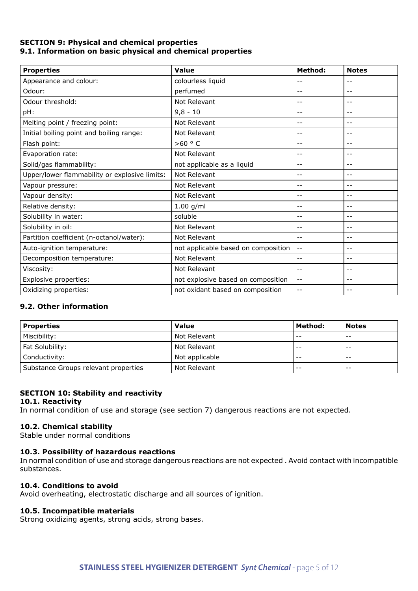## **SECTION 9: Physical and chemical properties 9.1. Information on basic physical and chemical properties**

| <b>Properties</b>                             | Value                               | <b>Method:</b> | <b>Notes</b> |
|-----------------------------------------------|-------------------------------------|----------------|--------------|
| Appearance and colour:                        | colourless liquid                   |                | $- -$        |
| Odour:                                        | perfumed                            | --             | $ -$         |
| Odour threshold:                              | Not Relevant                        | $ -$           | $- -$        |
| pH:                                           | $9,8 - 10$                          | --             | $-$          |
| Melting point / freezing point:               | Not Relevant                        |                |              |
| Initial boiling point and boiling range:      | Not Relevant                        | $ -$           | $- -$        |
| Flash point:                                  | $>60$ ° C                           | --             | $-$          |
| Evaporation rate:                             | Not Relevant                        | --             | $ -$         |
| Solid/gas flammability:                       | not applicable as a liquid          | $ -$           | $- -$        |
| Upper/lower flammability or explosive limits: | Not Relevant                        | $-$            | $ -$         |
| Vapour pressure:                              | Not Relevant                        | --             | $ -$         |
| Vapour density:                               | Not Relevant                        | --             | $- -$        |
| Relative density:                             | $1.00$ g/ml                         | --             | $- -$        |
| Solubility in water:                          | soluble                             | $-$            | $-$          |
| Solubility in oil:                            | Not Relevant                        |                | $- -$        |
| Partition coefficient (n-octanol/water):      | Not Relevant                        | $ -$           | $ -$         |
| Auto-ignition temperature:                    | not applicable based on composition | $- -$          | $-$          |
| Decomposition temperature:                    | Not Relevant                        | --             | $ -$         |
| Viscosity:                                    | Not Relevant                        | $ -$           | $- -$        |
| Explosive properties:                         | not explosive based on composition  | $- -$          | $- -$        |
| Oxidizing properties:                         | not oxidant based on composition    |                |              |

## **9.2. Other information**

| <b>Properties</b>                    | <b>Value</b>   | Method: | <b>Notes</b> |
|--------------------------------------|----------------|---------|--------------|
| Miscibility:                         | Not Relevant   | $ -$    | $- -$        |
| Fat Solubility:                      | Not Relevant   | $- -$   | $- -$        |
| Conductivity:                        | Not applicable | $- -$   | $- -$        |
| Substance Groups relevant properties | Not Relevant   | $ -$    | $ -$         |

## **SECTION 10: Stability and reactivity**

#### **10.1. Reactivity**

In normal condition of use and storage (see section 7) dangerous reactions are not expected.

## **10.2. Chemical stability**

Stable under normal conditions

## **10.3. Possibility of hazardous reactions**

In normal condition of use and storage dangerous reactions are not expected . Avoid contact with incompatible substances.

#### **10.4. Conditions to avoid**

Avoid overheating, electrostatic discharge and all sources of ignition.

## **10.5. Incompatible materials**

Strong oxidizing agents, strong acids, strong bases.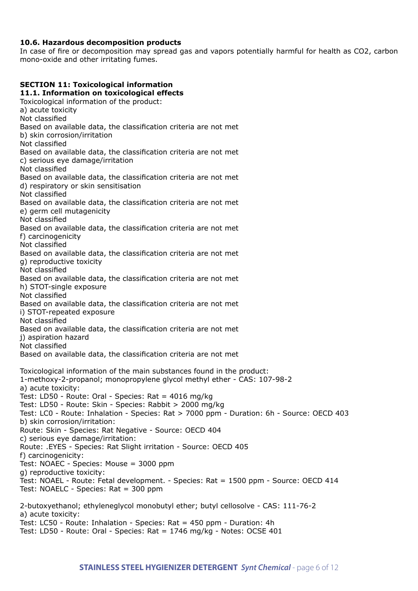## **10.6. Hazardous decomposition products**

In case of fire or decomposition may spread gas and vapors potentially harmful for health as CO2, carbon mono-oxide and other irritating fumes.

## **SECTION 11: Toxicological information 11.1. Information on toxicological effects** Toxicological information of the product: a) acute toxicity Not classified Based on available data, the classification criteria are not met b) skin corrosion/irritation Not classified Based on available data, the classification criteria are not met c) serious eye damage/irritation Not classified Based on available data, the classification criteria are not met d) respiratory or skin sensitisation Not classified Based on available data, the classification criteria are not met e) germ cell mutagenicity Not classified Based on available data, the classification criteria are not met f) carcinogenicity Not classified Based on available data, the classification criteria are not met g) reproductive toxicity Not classified Based on available data, the classification criteria are not met h) STOT-single exposure Not classified Based on available data, the classification criteria are not met i) STOT-repeated exposure Not classified Based on available data, the classification criteria are not met j) aspiration hazard Not classified Based on available data, the classification criteria are not met Toxicological information of the main substances found in the product: 1-methoxy-2-propanol; monopropylene glycol methyl ether - CAS: 107-98-2 a) acute toxicity: Test: LD50 - Route: Oral - Species: Rat = 4016 mg/kg Test: LD50 - Route: Skin - Species: Rabbit > 2000 mg/kg Test: LC0 - Route: Inhalation - Species: Rat > 7000 ppm - Duration: 6h - Source: OECD 403 b) skin corrosion/irritation: Route: Skin - Species: Rat Negative - Source: OECD 404 c) serious eye damage/irritation: Route: .EYES - Species: Rat Slight irritation - Source: OECD 405 f) carcinogenicity: Test: NOAEC - Species: Mouse = 3000 ppm g) reproductive toxicity: Test: NOAEL - Route: Fetal development. - Species: Rat = 1500 ppm - Source: OECD 414 Test: NOAELC - Species: Rat = 300 ppm 2-butoxyethanol; ethyleneglycol monobutyl ether; butyl cellosolve - CAS: 111-76-2 a) acute toxicity:

Test: LC50 - Route: Inhalation - Species: Rat = 450 ppm - Duration: 4h Test: LD50 - Route: Oral - Species: Rat = 1746 mg/kg - Notes: OCSE 401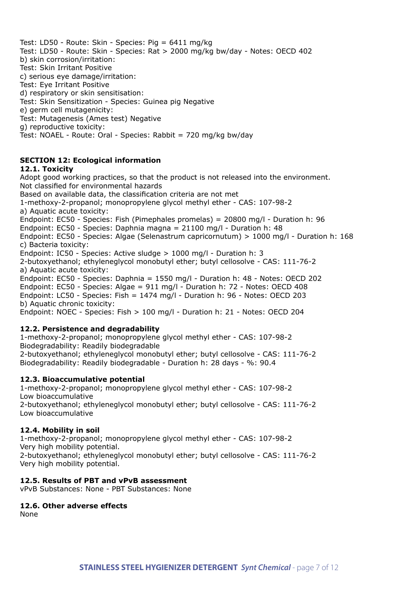Test: LD50 - Route: Skin - Species: Pig = 6411 mg/kg Test: LD50 - Route: Skin - Species: Rat > 2000 mg/kg bw/day - Notes: OECD 402 b) skin corrosion/irritation: Test: Skin Irritant Positive c) serious eye damage/irritation: Test: Eye Irritant Positive d) respiratory or skin sensitisation: Test: Skin Sensitization - Species: Guinea pig Negative e) germ cell mutagenicity: Test: Mutagenesis (Ames test) Negative g) reproductive toxicity: Test: NOAEL - Route: Oral - Species: Rabbit = 720 mg/kg bw/day

## **SECTION 12: Ecological information**

#### **12.1. Toxicity**

Adopt good working practices, so that the product is not released into the environment. Not classified for environmental hazards Based on available data, the classification criteria are not met 1-methoxy-2-propanol; monopropylene glycol methyl ether - CAS: 107-98-2 a) Aquatic acute toxicity: Endpoint: EC50 - Species: Fish (Pimephales promelas) = 20800 mg/l - Duration h: 96 Endpoint: EC50 - Species: Daphnia magna = 21100 mg/l - Duration h: 48 Endpoint: EC50 - Species: Algae (Selenastrum capricornutum) > 1000 mg/l - Duration h: 168 c) Bacteria toxicity: Endpoint: IC50 - Species: Active sludge > 1000 mg/l - Duration h: 3 2-butoxyethanol; ethyleneglycol monobutyl ether; butyl cellosolve - CAS: 111-76-2 a) Aquatic acute toxicity: Endpoint: EC50 - Species: Daphnia = 1550 mg/l - Duration h: 48 - Notes: OECD 202 Endpoint: EC50 - Species: Algae = 911 mg/l - Duration h: 72 - Notes: OECD 408 Endpoint: LC50 - Species: Fish = 1474 mg/l - Duration h: 96 - Notes: OECD 203 b) Aquatic chronic toxicity: Endpoint: NOEC - Species: Fish > 100 mg/l - Duration h: 21 - Notes: OECD 204 **12.2. Persistence and degradability**

## 1-methoxy-2-propanol; monopropylene glycol methyl ether - CAS: 107-98-2

Biodegradability: Readily biodegradable

2-butoxyethanol; ethyleneglycol monobutyl ether; butyl cellosolve - CAS: 111-76-2 Biodegradability: Readily biodegradable - Duration h: 28 days - %: 90.4

#### **12.3. Bioaccumulative potential**

1-methoxy-2-propanol; monopropylene glycol methyl ether - CAS: 107-98-2 Low bioaccumulative 2-butoxyethanol; ethyleneglycol monobutyl ether; butyl cellosolve - CAS: 111-76-2 Low bioaccumulative

#### **12.4. Mobility in soil**

1-methoxy-2-propanol; monopropylene glycol methyl ether - CAS: 107-98-2 Very high mobility potential. 2-butoxyethanol; ethyleneglycol monobutyl ether; butyl cellosolve - CAS: 111-76-2 Very high mobility potential.

#### **12.5. Results of PBT and vPvB assessment**

vPvB Substances: None - PBT Substances: None

**12.6. Other adverse effects**

None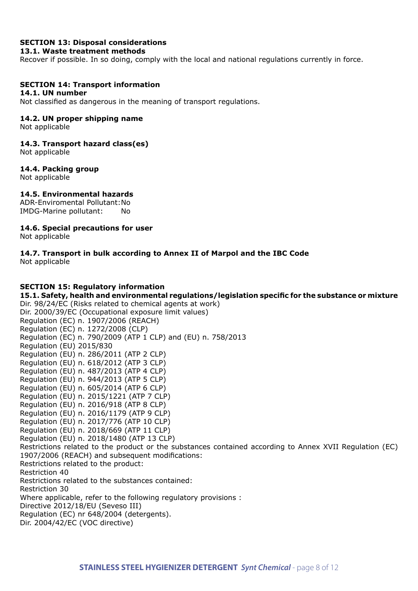## **SECTION 13: Disposal considerations**

#### **13.1. Waste treatment methods**

Recover if possible. In so doing, comply with the local and national regulations currently in force.

#### **SECTION 14: Transport information**

#### **14.1. UN number**

Not classified as dangerous in the meaning of transport regulations.

## **14.2. UN proper shipping name**

Not applicable

#### **14.3. Transport hazard class(es)**

Not applicable

#### **14.4. Packing group**

Not applicable

#### **14.5. Environmental hazards**

ADR-Enviromental Pollutant:No IMDG-Marine pollutant: No

## **14.6. Special precautions for user**

Not applicable

#### **14.7. Transport in bulk according to Annex II of Marpol and the IBC Code** Not applicable

#### **SECTION 15: Regulatory information**

**15.1. Safety, health and environmental regulations/legislation specific for the substance or mixture** Dir. 98/24/EC (Risks related to chemical agents at work) Dir. 2000/39/EC (Occupational exposure limit values) Regulation (EC) n. 1907/2006 (REACH) Regulation (EC) n. 1272/2008 (CLP) Regulation (EC) n. 790/2009 (ATP 1 CLP) and (EU) n. 758/2013 Regulation (EU) 2015/830 Regulation (EU) n. 286/2011 (ATP 2 CLP) Regulation (EU) n. 618/2012 (ATP 3 CLP) Regulation (EU) n. 487/2013 (ATP 4 CLP) Regulation (EU) n. 944/2013 (ATP 5 CLP) Regulation (EU) n. 605/2014 (ATP 6 CLP) Regulation (EU) n. 2015/1221 (ATP 7 CLP) Regulation (EU) n. 2016/918 (ATP 8 CLP) Regulation (EU) n. 2016/1179 (ATP 9 CLP) Regulation (EU) n. 2017/776 (ATP 10 CLP) Regulation (EU) n. 2018/669 (ATP 11 CLP) Regulation (EU) n. 2018/1480 (ATP 13 CLP) Restrictions related to the product or the substances contained according to Annex XVII Regulation (EC) 1907/2006 (REACH) and subsequent modifications: Restrictions related to the product: Restriction 40 Restrictions related to the substances contained: Restriction 30 Where applicable, refer to the following regulatory provisions : Directive 2012/18/EU (Seveso III) Regulation (EC) nr 648/2004 (detergents). Dir. 2004/42/EC (VOC directive)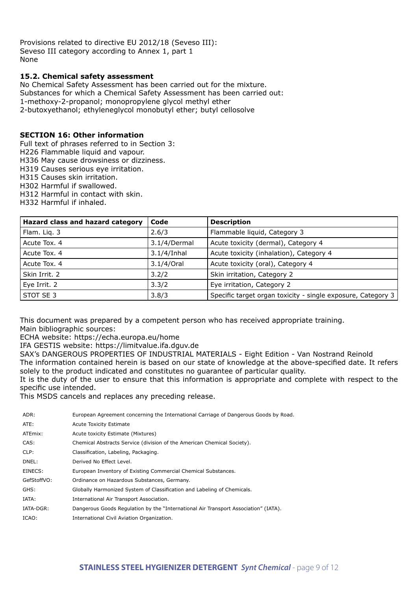Provisions related to directive EU 2012/18 (Seveso III): Seveso III category according to Annex 1, part 1 None

## **15.2. Chemical safety assessment**

No Chemical Safety Assessment has been carried out for the mixture. Substances for which a Chemical Safety Assessment has been carried out: 1-methoxy-2-propanol; monopropylene glycol methyl ether 2-butoxyethanol; ethyleneglycol monobutyl ether; butyl cellosolve

## **SECTION 16: Other information**

Full text of phrases referred to in Section 3:

- H226 Flammable liquid and vapour.
- H336 May cause drowsiness or dizziness.
- H319 Causes serious eye irritation.

H315 Causes skin irritation.

- H302 Harmful if swallowed.
- H312 Harmful in contact with skin.

H332 Harmful if inhaled.

| Hazard class and hazard category | Code           | <b>Description</b>                                           |
|----------------------------------|----------------|--------------------------------------------------------------|
| Flam. Liq. 3                     | 2.6/3          | Flammable liquid, Category 3                                 |
| Acute Tox, 4                     | 3.1/4/Dermal   | Acute toxicity (dermal), Category 4                          |
| Acute Tox, 4                     | $3.1/4$ /Inhal | Acute toxicity (inhalation), Category 4                      |
| Acute Tox, 4                     | 3.1/4/Oral     | Acute toxicity (oral), Category 4                            |
| Skin Irrit. 2                    | 3.2/2          | Skin irritation, Category 2                                  |
| Eye Irrit. 2                     | 3.3/2          | Eye irritation, Category 2                                   |
| STOT SE 3                        | 3.8/3          | Specific target organ toxicity - single exposure, Category 3 |

This document was prepared by a competent person who has received appropriate training. Main bibliographic sources:

ECHA website: https://echa.europa.eu/home

IFA GESTIS website: https://limitvalue.ifa.dguv.de

SAX's DANGEROUS PROPERTIES OF INDUSTRIAL MATERIALS - Eight Edition - Van Nostrand Reinold

The information contained herein is based on our state of knowledge at the above-specified date. It refers solely to the product indicated and constitutes no guarantee of particular quality.

It is the duty of the user to ensure that this information is appropriate and complete with respect to the specific use intended.

This MSDS cancels and replaces any preceding release.

| ADR:        | European Agreement concerning the International Carriage of Dangerous Goods by Road. |
|-------------|--------------------------------------------------------------------------------------|
| ATE:        | <b>Acute Toxicity Estimate</b>                                                       |
| ATEmix:     | Acute toxicity Estimate (Mixtures)                                                   |
| CAS:        | Chemical Abstracts Service (division of the American Chemical Society).              |
| CLP:        | Classification, Labeling, Packaging.                                                 |
| DNEL:       | Derived No Effect Level.                                                             |
| EINECS:     | European Inventory of Existing Commercial Chemical Substances.                       |
| GefStoffVO: | Ordinance on Hazardous Substances, Germany.                                          |
| GHS:        | Globally Harmonized System of Classification and Labeling of Chemicals.              |
| IATA:       | International Air Transport Association.                                             |
| IATA-DGR:   | Dangerous Goods Regulation by the "International Air Transport Association" (IATA).  |
| ICAO:       | International Civil Aviation Organization.                                           |
|             |                                                                                      |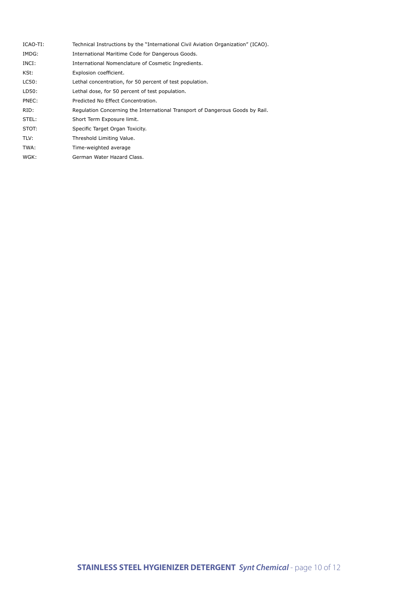| ICAO-TI: | Technical Instructions by the "International Civil Aviation Organization" (ICAO). |
|----------|-----------------------------------------------------------------------------------|
| IMDG:    | International Maritime Code for Dangerous Goods.                                  |
| INCI:    | International Nomenclature of Cosmetic Ingredients.                               |
| KSt:     | Explosion coefficient.                                                            |
| LC50:    | Lethal concentration, for 50 percent of test population.                          |
| LD50:    | Lethal dose, for 50 percent of test population.                                   |
| PNEC:    | Predicted No Effect Concentration.                                                |
| RID:     | Regulation Concerning the International Transport of Dangerous Goods by Rail.     |
| STEL:    | Short Term Exposure limit.                                                        |
| STOT:    | Specific Target Organ Toxicity.                                                   |
| TLV:     | Threshold Limiting Value.                                                         |
| TWA:     | Time-weighted average                                                             |
| WGK:     | German Water Hazard Class.                                                        |
|          |                                                                                   |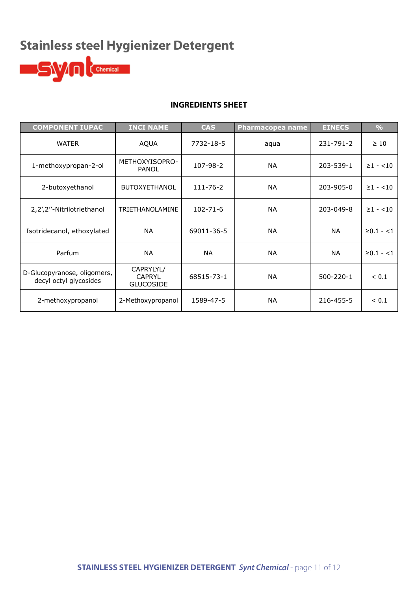# **Stainless steel Hygienizer Detergent**



## **INGREDIENTS SHEET**

| <b>COMPONENT IUPAC</b>                                | <b>INCI NAME</b>                               | <b>CAS</b>     | <b>Pharmacopea name</b> | <b>EINECS</b>   | $\frac{0}{0}$  |
|-------------------------------------------------------|------------------------------------------------|----------------|-------------------------|-----------------|----------------|
| <b>WATER</b>                                          | <b>AQUA</b>                                    | 7732-18-5      | aqua                    | 231-791-2       | $\geq 10$      |
| 1-methoxypropan-2-ol                                  | METHOXYISOPRO-<br><b>PANOL</b>                 | 107-98-2       | <b>NA</b>               | 203-539-1       | $\geq 1 - 10$  |
| 2-butoxyethanol                                       | <b>BUTOXYETHANOL</b>                           | 111-76-2       | <b>NA</b>               | 203-905-0       | $\geq 1 - 10$  |
| 2,2',2"-Nitrilotriethanol                             | <b>TRIETHANOLAMINE</b>                         | $102 - 71 - 6$ | <b>NA</b>               | 203-049-8       | $\geq 1 - 10$  |
| Isotridecanol, ethoxylated                            | <b>NA</b>                                      | 69011-36-5     | <b>NA</b>               | <b>NA</b>       | $\geq 0.1 - 1$ |
| Parfum                                                | <b>NA</b>                                      | <b>NA</b>      | <b>NA</b>               | <b>NA</b>       | $\geq 0.1 - 1$ |
| D-Glucopyranose, oligomers,<br>decyl octyl glycosides | CAPRYLYL/<br><b>CAPRYL</b><br><b>GLUCOSIDE</b> | 68515-73-1     | <b>NA</b>               | $500 - 220 - 1$ | < 0.1          |
| 2-methoxypropanol                                     | 2-Methoxypropanol                              | 1589-47-5      | <b>NA</b>               | 216-455-5       | < 0.1          |